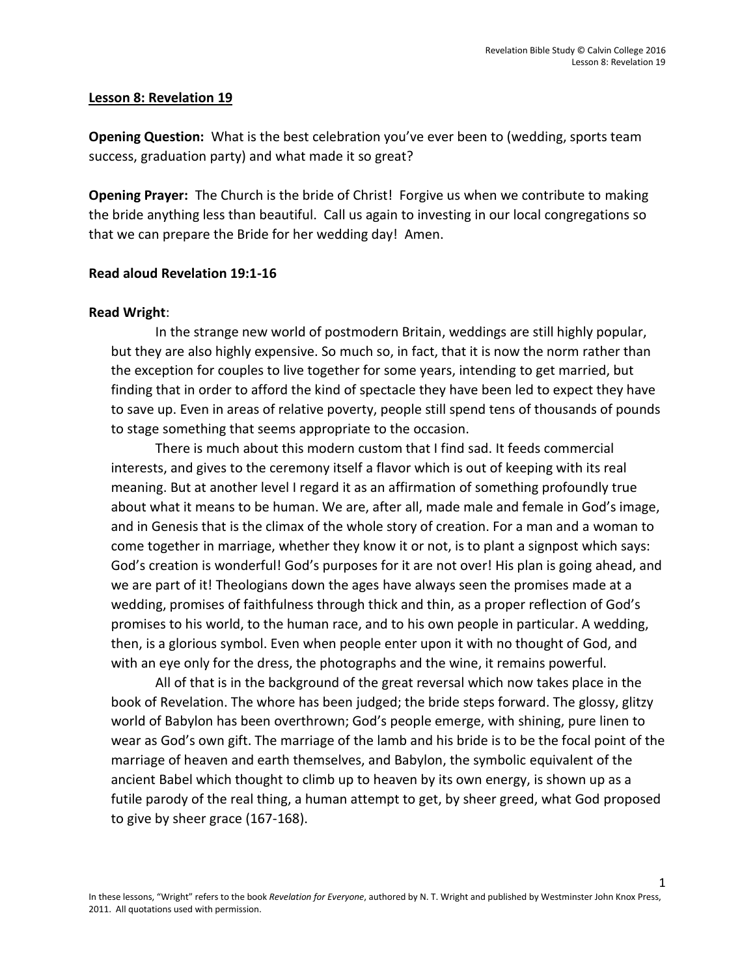### **Lesson 8: Revelation 19**

**Opening Question:** What is the best celebration you've ever been to (wedding, sports team success, graduation party) and what made it so great?

**Opening Prayer:** The Church is the bride of Christ! Forgive us when we contribute to making the bride anything less than beautiful. Call us again to investing in our local congregations so that we can prepare the Bride for her wedding day! Amen.

## **Read aloud Revelation 19:1-16**

#### **Read Wright**:

In the strange new world of postmodern Britain, weddings are still highly popular, but they are also highly expensive. So much so, in fact, that it is now the norm rather than the exception for couples to live together for some years, intending to get married, but finding that in order to afford the kind of spectacle they have been led to expect they have to save up. Even in areas of relative poverty, people still spend tens of thousands of pounds to stage something that seems appropriate to the occasion.

There is much about this modern custom that I find sad. It feeds commercial interests, and gives to the ceremony itself a flavor which is out of keeping with its real meaning. But at another level I regard it as an affirmation of something profoundly true about what it means to be human. We are, after all, made male and female in God's image, and in Genesis that is the climax of the whole story of creation. For a man and a woman to come together in marriage, whether they know it or not, is to plant a signpost which says: God's creation is wonderful! God's purposes for it are not over! His plan is going ahead, and we are part of it! Theologians down the ages have always seen the promises made at a wedding, promises of faithfulness through thick and thin, as a proper reflection of God's promises to his world, to the human race, and to his own people in particular. A wedding, then, is a glorious symbol. Even when people enter upon it with no thought of God, and with an eye only for the dress, the photographs and the wine, it remains powerful.

All of that is in the background of the great reversal which now takes place in the book of Revelation. The whore has been judged; the bride steps forward. The glossy, glitzy world of Babylon has been overthrown; God's people emerge, with shining, pure linen to wear as God's own gift. The marriage of the lamb and his bride is to be the focal point of the marriage of heaven and earth themselves, and Babylon, the symbolic equivalent of the ancient Babel which thought to climb up to heaven by its own energy, is shown up as a futile parody of the real thing, a human attempt to get, by sheer greed, what God proposed to give by sheer grace (167-168).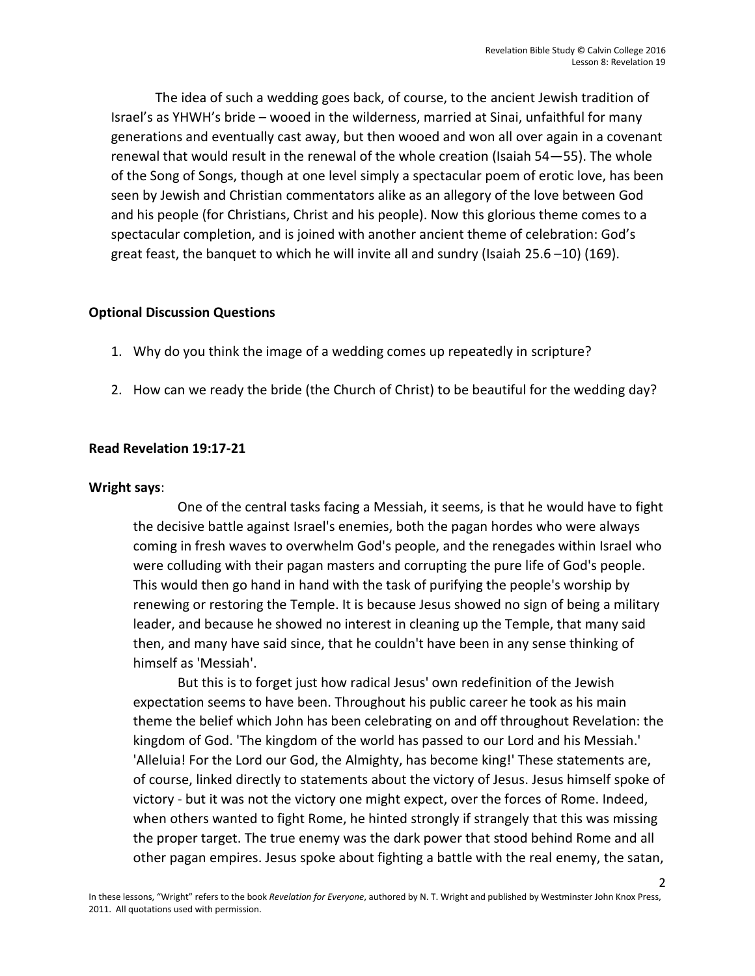The idea of such a wedding goes back, of course, to the ancient Jewish tradition of Israel's as YHWH's bride – wooed in the wilderness, married at Sinai, unfaithful for many generations and eventually cast away, but then wooed and won all over again in a covenant renewal that would result in the renewal of the whole creation (Isaiah 54—55). The whole of the Song of Songs, though at one level simply a spectacular poem of erotic love, has been seen by Jewish and Christian commentators alike as an allegory of the love between God and his people (for Christians, Christ and his people). Now this glorious theme comes to a spectacular completion, and is joined with another ancient theme of celebration: God's great feast, the banquet to which he will invite all and sundry (Isaiah 25.6 –10) (169).

## **Optional Discussion Questions**

- 1. Why do you think the image of a wedding comes up repeatedly in scripture?
- 2. How can we ready the bride (the Church of Christ) to be beautiful for the wedding day?

# **Read Revelation 19:17-21**

## **Wright says**:

One of the central tasks facing a Messiah, it seems, is that he would have to fight the decisive battle against Israel's enemies, both the pagan hordes who were always coming in fresh waves to overwhelm God's people, and the renegades within Israel who were colluding with their pagan masters and corrupting the pure life of God's people. This would then go hand in hand with the task of purifying the people's worship by renewing or restoring the Temple. It is because Jesus showed no sign of being a military leader, and because he showed no interest in cleaning up the Temple, that many said then, and many have said since, that he couldn't have been in any sense thinking of himself as 'Messiah'.

But this is to forget just how radical Jesus' own redefinition of the Jewish expectation seems to have been. Throughout his public career he took as his main theme the belief which John has been celebrating on and off throughout Revelation: the kingdom of God. 'The kingdom of the world has passed to our Lord and his Messiah.' 'Alleluia! For the Lord our God, the Almighty, has become king!' These statements are, of course, linked directly to statements about the victory of Jesus. Jesus himself spoke of victory - but it was not the victory one might expect, over the forces of Rome. Indeed, when others wanted to fight Rome, he hinted strongly if strangely that this was missing the proper target. The true enemy was the dark power that stood behind Rome and all other pagan empires. Jesus spoke about fighting a battle with the real enemy, the satan,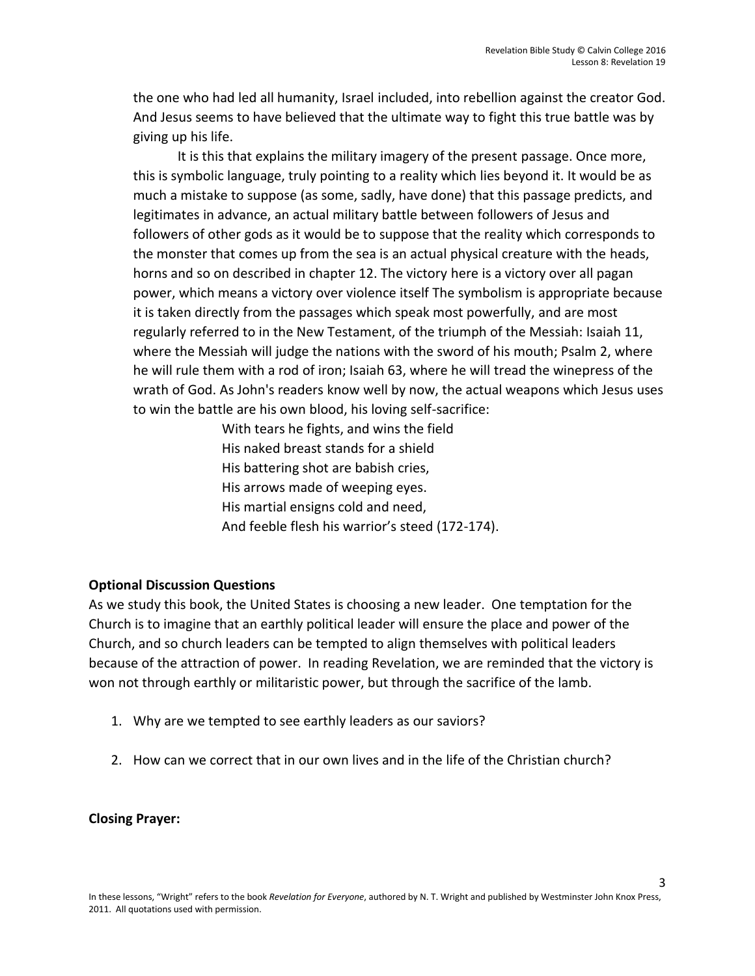3

the one who had led all humanity, Israel included, into rebellion against the creator God. And Jesus seems to have believed that the ultimate way to fight this true battle was by giving up his life.

It is this that explains the military imagery of the present passage. Once more, this is symbolic language, truly pointing to a reality which lies beyond it. It would be as much a mistake to suppose (as some, sadly, have done) that this passage predicts, and legitimates in advance, an actual military battle between followers of Jesus and followers of other gods as it would be to suppose that the reality which corresponds to the monster that comes up from the sea is an actual physical creature with the heads, horns and so on described in chapter 12. The victory here is a victory over all pagan power, which means a victory over violence itself The symbolism is appropriate because it is taken directly from the passages which speak most powerfully, and are most regularly referred to in the New Testament, of the triumph of the Messiah: Isaiah 11, where the Messiah will judge the nations with the sword of his mouth; Psalm 2, where he will rule them with a rod of iron; Isaiah 63, where he will tread the winepress of the wrath of God. As John's readers know well by now, the actual weapons which Jesus uses to win the battle are his own blood, his loving self-sacrifice:

> With tears he fights, and wins the field His naked breast stands for a shield His battering shot are babish cries, His arrows made of weeping eyes. His martial ensigns cold and need, And feeble flesh his warrior's steed (172-174).

# **Optional Discussion Questions**

As we study this book, the United States is choosing a new leader. One temptation for the Church is to imagine that an earthly political leader will ensure the place and power of the Church, and so church leaders can be tempted to align themselves with political leaders because of the attraction of power. In reading Revelation, we are reminded that the victory is won not through earthly or militaristic power, but through the sacrifice of the lamb.

- 1. Why are we tempted to see earthly leaders as our saviors?
- 2. How can we correct that in our own lives and in the life of the Christian church?

**Closing Prayer:**